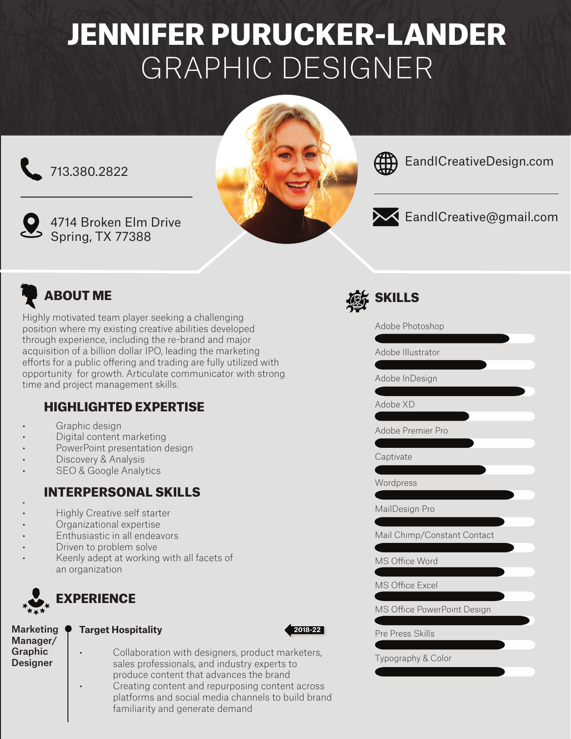# JENNIFER PURUCKER-LANDER GRAPHIC DESIGNER

713.380.2822



4714 Broken Elm Drive Spring, TX 77388





EandICreativeDesign.com



EandICreative@gmail.com

## ABOUT ME

Highly motivated team player seeking a challenging position where my existing creative abilities developed through experience, including the re-brand and major acquisition of a billion dollar IPO, leading the marketing efforts for a public offering and trading are fully utilized with opportunity for growth. Articulate communicator with strong time and project management skills.

## HIGHLIGHTED EXPERTISE

- Graphic design
- Digital content marketing
- PowerPoint presentation design
- Discovery & Analysis
- **SEO & Google Analytics**

## INTERPERSONAL SKILLS

- • Highly Creative self starter
- Organizational expertise
- Enthusiastic in all endeavors
- Driven to problem solve
- Keenly adept at working with all facets of an organization



## **EXPERIENCE**

Marketing Manager/ Graphic Designer

#### **Target Hospitality**



Collaboration with designers, product marketers, sales professionals, and industry experts to produce content that advances the brand • Creating content and repurposing content across platforms and social media channels to build brand familiarity and generate demand



Adobe Photoshop

Adobe Illustrator

Adobe InDesign

Adobe XD

Adobe Premier Pro

Captivate

**Wordpress** 

MailDesign Pro

Mail Chimp/Constant Contact

MS Office Word

MS Office Excel

MS Office PowerPoint Design

Pre Press Skills

Typography & Color